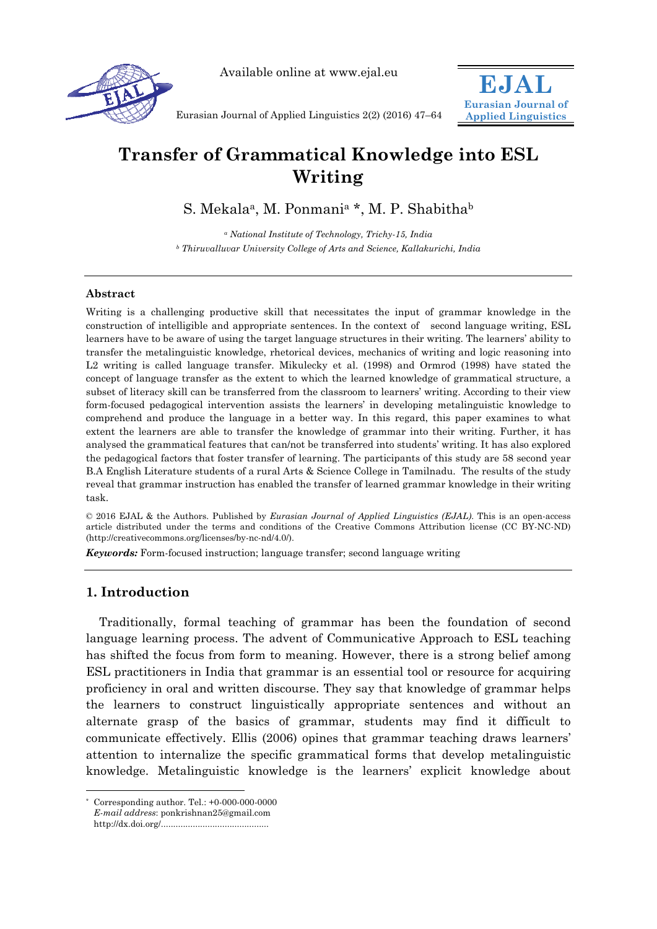

Available online at www.ejal.eu



Eurasian Journal of Applied Linguistics 2(2) (2016) 47–64

# **Transfer of Grammatical Knowledge into ESL Writing**

S. Mekala<sup>a</sup>, M. Ponmani<sup>a</sup> \*, M. P. Shabitha<sup>b</sup>

*a National Institute of Technology, Trichy-15, India b Thiruvalluvar University College of Arts and Science, Kallakurichi, India* 

## **Abstract**

Writing is a challenging productive skill that necessitates the input of grammar knowledge in the construction of intelligible and appropriate sentences. In the context of second language writing, ESL learners have to be aware of using the target language structures in their writing. The learners' ability to transfer the metalinguistic knowledge, rhetorical devices, mechanics of writing and logic reasoning into L2 writing is called language transfer. Mikulecky et al. (1998) and Ormrod (1998) have stated the concept of language transfer as the extent to which the learned knowledge of grammatical structure, a subset of literacy skill can be transferred from the classroom to learners' writing. According to their view form-focused pedagogical intervention assists the learners' in developing metalinguistic knowledge to comprehend and produce the language in a better way. In this regard, this paper examines to what extent the learners are able to transfer the knowledge of grammar into their writing. Further, it has analysed the grammatical features that can/not be transferred into students' writing. It has also explored the pedagogical factors that foster transfer of learning. The participants of this study are 58 second year B.A English Literature students of a rural Arts & Science College in Tamilnadu. The results of the study reveal that grammar instruction has enabled the transfer of learned grammar knowledge in their writing task.

© 2016 EJAL & the Authors. Published by *Eurasian Journal of Applied Linguistics (EJAL)*. This is an open-access article distributed under the terms and conditions of the Creative Commons Attribution license (CC BY-NC-ND) (http://creativecommons.org/licenses/by-nc-nd/4.0/).

*Keywords:* Form-focused instruction; language transfer; second language writing

## **1. Introduction**

Traditionally, formal teaching of grammar has been the foundation of second language learning process. The advent of Communicative Approach to ESL teaching has shifted the focus from form to meaning. However, there is a strong belief among ESL practitioners in India that grammar is an essential tool or resource for acquiring proficiency in oral and written discourse. They say that knowledge of grammar helps the learners to construct linguistically appropriate sentences and without an alternate grasp of the basics of grammar, students may find it difficult to communicate effectively. Ellis (2006) opines that grammar teaching draws learners' attention to internalize the specific grammatical forms that develop metalinguistic knowledge. Metalinguistic knowledge is the learners' explicit knowledge about

 $\overline{a}$ Corresponding author. Tel.:  $+0.000-000-0000$ *E-mail address*: ponkrishnan25@gmail.com

http://dx.doi.org/............................................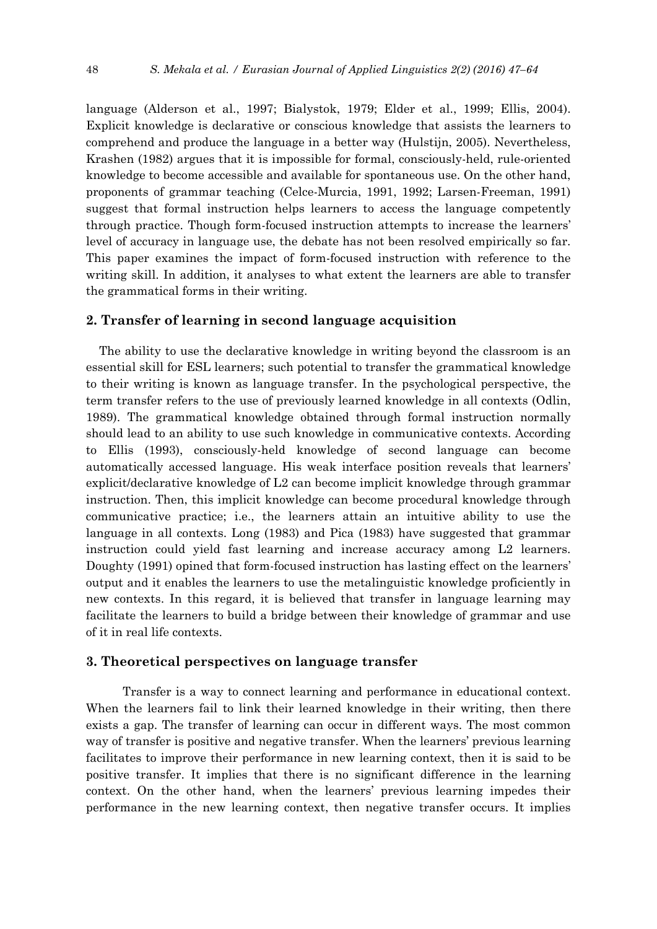language (Alderson et al., 1997; Bialystok, 1979; Elder et al., 1999; Ellis, 2004). Explicit knowledge is declarative or conscious knowledge that assists the learners to comprehend and produce the language in a better way (Hulstijn, 2005). Nevertheless, Krashen (1982) argues that it is impossible for formal, consciously-held, rule-oriented knowledge to become accessible and available for spontaneous use. On the other hand, proponents of grammar teaching (Celce-Murcia, 1991, 1992; Larsen-Freeman, 1991) suggest that formal instruction helps learners to access the language competently through practice. Though form-focused instruction attempts to increase the learners' level of accuracy in language use, the debate has not been resolved empirically so far. This paper examines the impact of form-focused instruction with reference to the writing skill. In addition, it analyses to what extent the learners are able to transfer the grammatical forms in their writing.

## **2. Transfer of learning in second language acquisition**

The ability to use the declarative knowledge in writing beyond the classroom is an essential skill for ESL learners; such potential to transfer the grammatical knowledge to their writing is known as language transfer. In the psychological perspective, the term transfer refers to the use of previously learned knowledge in all contexts (Odlin, 1989). The grammatical knowledge obtained through formal instruction normally should lead to an ability to use such knowledge in communicative contexts. According to Ellis (1993), consciously-held knowledge of second language can become automatically accessed language. His weak interface position reveals that learners' explicit/declarative knowledge of L2 can become implicit knowledge through grammar instruction. Then, this implicit knowledge can become procedural knowledge through communicative practice; i.e., the learners attain an intuitive ability to use the language in all contexts. Long (1983) and Pica (1983) have suggested that grammar instruction could yield fast learning and increase accuracy among L2 learners. Doughty (1991) opined that form-focused instruction has lasting effect on the learners' output and it enables the learners to use the metalinguistic knowledge proficiently in new contexts. In this regard, it is believed that transfer in language learning may facilitate the learners to build a bridge between their knowledge of grammar and use of it in real life contexts.

## **3. Theoretical perspectives on language transfer**

 Transfer is a way to connect learning and performance in educational context. When the learners fail to link their learned knowledge in their writing, then there exists a gap. The transfer of learning can occur in different ways. The most common way of transfer is positive and negative transfer. When the learners' previous learning facilitates to improve their performance in new learning context, then it is said to be positive transfer. It implies that there is no significant difference in the learning context. On the other hand, when the learners' previous learning impedes their performance in the new learning context, then negative transfer occurs. It implies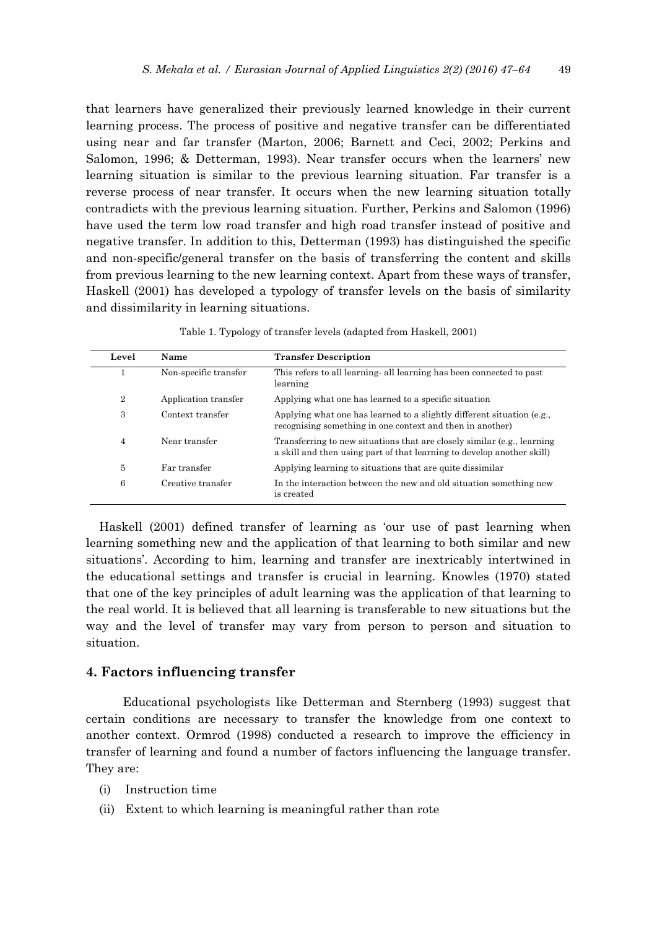that learners have generalized their previously learned knowledge in their current learning process. The process of positive and negative transfer can be differentiated using near and far transfer (Marton, 2006; Barnett and Ceci, 2002; Perkins and Salomon, 1996; & Detterman, 1993). Near transfer occurs when the learners' new learning situation is similar to the previous learning situation. Far transfer is a reverse process of near transfer. It occurs when the new learning situation totally contradicts with the previous learning situation. Further, Perkins and Salomon (1996) have used the term low road transfer and high road transfer instead of positive and negative transfer. In addition to this, Detterman (1993) has distinguished the specific and non-specific/general transfer on the basis of transferring the content and skills from previous learning to the new learning context. Apart from these ways of transfer, Haskell (2001) has developed a typology of transfer levels on the basis of similarity and dissimilarity in learning situations.

Table 1. Typology of transfer levels (adapted from Haskell, 2001)

| Level          | Name                  | <b>Transfer Description</b>                                                                                                                       |
|----------------|-----------------------|---------------------------------------------------------------------------------------------------------------------------------------------------|
| 1              | Non-specific transfer | This refers to all learning all learning has been connected to past<br>learning                                                                   |
| $\overline{2}$ | Application transfer  | Applying what one has learned to a specific situation                                                                                             |
| 3              | Context transfer      | Applying what one has learned to a slightly different situation (e.g.,<br>recognising something in one context and then in another)               |
| 4              | Near transfer         | Transferring to new situations that are closely similar (e.g., learning<br>a skill and then using part of that learning to develop another skill) |
| 5              | Far transfer          | Applying learning to situations that are quite dissimilar                                                                                         |
| 6              | Creative transfer     | In the interaction between the new and old situation something new<br>is created                                                                  |

Haskell (2001) defined transfer of learning as 'our use of past learning when learning something new and the application of that learning to both similar and new situations'. According to him, learning and transfer are inextricably intertwined in the educational settings and transfer is crucial in learning. Knowles (1970) stated that one of the key principles of adult learning was the application of that learning to the real world. It is believed that all learning is transferable to new situations but the way and the level of transfer may vary from person to person and situation to situation.

## **4. Factors influencing transfer**

 Educational psychologists like Detterman and Sternberg (1993) suggest that certain conditions are necessary to transfer the knowledge from one context to another context. Ormrod (1998) conducted a research to improve the efficiency in transfer of learning and found a number of factors influencing the language transfer. They are:

- (i) Instruction time
- (ii) Extent to which learning is meaningful rather than rote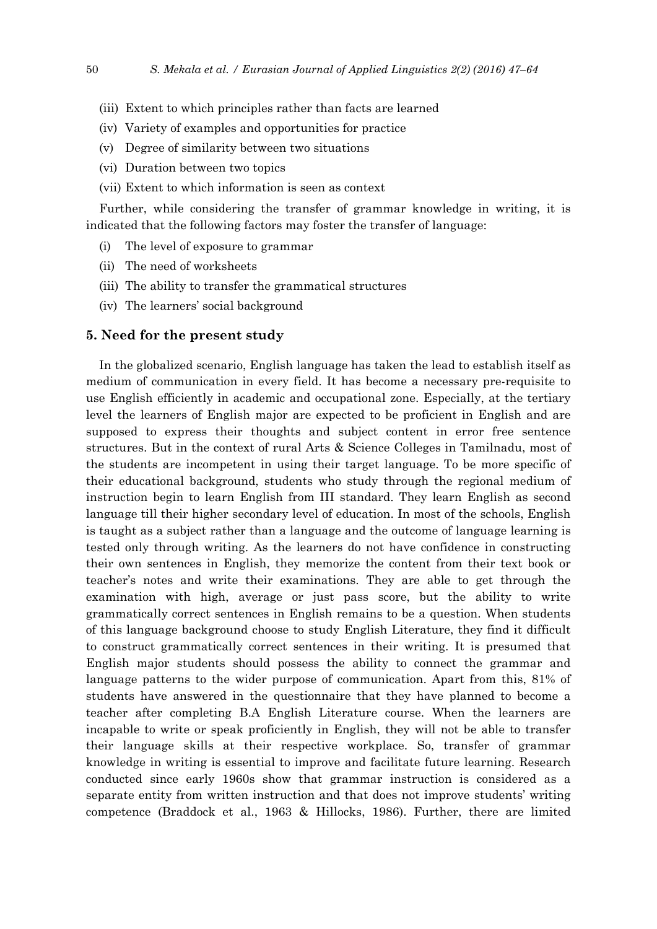- (iii) Extent to which principles rather than facts are learned
- (iv) Variety of examples and opportunities for practice
- (v) Degree of similarity between two situations
- (vi) Duration between two topics
- (vii) Extent to which information is seen as context

Further, while considering the transfer of grammar knowledge in writing, it is indicated that the following factors may foster the transfer of language:

- (i) The level of exposure to grammar
- (ii) The need of worksheets
- (iii) The ability to transfer the grammatical structures
- (iv) The learners' social background

## **5. Need for the present study**

In the globalized scenario, English language has taken the lead to establish itself as medium of communication in every field. It has become a necessary pre-requisite to use English efficiently in academic and occupational zone. Especially, at the tertiary level the learners of English major are expected to be proficient in English and are supposed to express their thoughts and subject content in error free sentence structures. But in the context of rural Arts & Science Colleges in Tamilnadu, most of the students are incompetent in using their target language. To be more specific of their educational background, students who study through the regional medium of instruction begin to learn English from III standard. They learn English as second language till their higher secondary level of education. In most of the schools, English is taught as a subject rather than a language and the outcome of language learning is tested only through writing. As the learners do not have confidence in constructing their own sentences in English, they memorize the content from their text book or teacher's notes and write their examinations. They are able to get through the examination with high, average or just pass score, but the ability to write grammatically correct sentences in English remains to be a question. When students of this language background choose to study English Literature, they find it difficult to construct grammatically correct sentences in their writing. It is presumed that English major students should possess the ability to connect the grammar and language patterns to the wider purpose of communication. Apart from this, 81% of students have answered in the questionnaire that they have planned to become a teacher after completing B.A English Literature course. When the learners are incapable to write or speak proficiently in English, they will not be able to transfer their language skills at their respective workplace. So, transfer of grammar knowledge in writing is essential to improve and facilitate future learning. Research conducted since early 1960s show that grammar instruction is considered as a separate entity from written instruction and that does not improve students' writing competence (Braddock et al., 1963 & Hillocks, 1986). Further, there are limited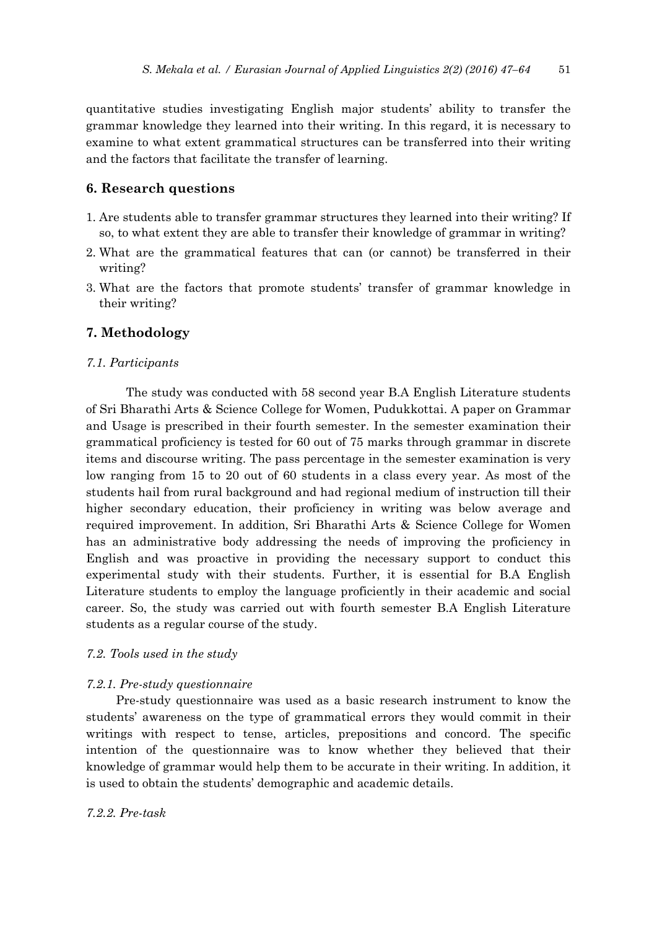quantitative studies investigating English major students' ability to transfer the grammar knowledge they learned into their writing. In this regard, it is necessary to examine to what extent grammatical structures can be transferred into their writing and the factors that facilitate the transfer of learning.

## **6. Research questions**

- 1. Are students able to transfer grammar structures they learned into their writing? If so, to what extent they are able to transfer their knowledge of grammar in writing?
- 2. What are the grammatical features that can (or cannot) be transferred in their writing?
- 3. What are the factors that promote students' transfer of grammar knowledge in their writing?

## **7. Methodology**

#### *7.1. Participants*

 The study was conducted with 58 second year B.A English Literature students of Sri Bharathi Arts & Science College for Women, Pudukkottai. A paper on Grammar and Usage is prescribed in their fourth semester. In the semester examination their grammatical proficiency is tested for 60 out of 75 marks through grammar in discrete items and discourse writing. The pass percentage in the semester examination is very low ranging from 15 to 20 out of 60 students in a class every year. As most of the students hail from rural background and had regional medium of instruction till their higher secondary education, their proficiency in writing was below average and required improvement. In addition, Sri Bharathi Arts & Science College for Women has an administrative body addressing the needs of improving the proficiency in English and was proactive in providing the necessary support to conduct this experimental study with their students. Further, it is essential for B.A English Literature students to employ the language proficiently in their academic and social career. So, the study was carried out with fourth semester B.A English Literature students as a regular course of the study.

## *7.2. Tools used in the study*

#### *7.2.1. Pre-study questionnaire*

 Pre-study questionnaire was used as a basic research instrument to know the students' awareness on the type of grammatical errors they would commit in their writings with respect to tense, articles, prepositions and concord. The specific intention of the questionnaire was to know whether they believed that their knowledge of grammar would help them to be accurate in their writing. In addition, it is used to obtain the students' demographic and academic details.

## *7.2.2. Pre-task*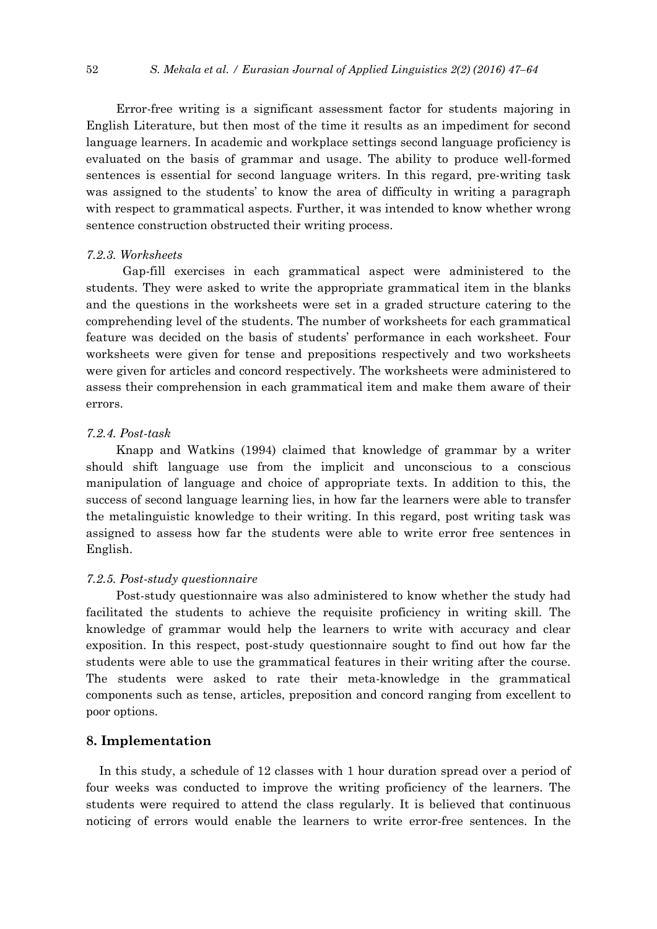Error-free writing is a significant assessment factor for students majoring in English Literature, but then most of the time it results as an impediment for second language learners. In academic and workplace settings second language proficiency is evaluated on the basis of grammar and usage. The ability to produce well-formed sentences is essential for second language writers. In this regard, pre-writing task was assigned to the students' to know the area of difficulty in writing a paragraph with respect to grammatical aspects. Further, it was intended to know whether wrong sentence construction obstructed their writing process.

#### *7.2.3. Worksheets*

 Gap-fill exercises in each grammatical aspect were administered to the students. They were asked to write the appropriate grammatical item in the blanks and the questions in the worksheets were set in a graded structure catering to the comprehending level of the students. The number of worksheets for each grammatical feature was decided on the basis of students' performance in each worksheet. Four worksheets were given for tense and prepositions respectively and two worksheets were given for articles and concord respectively. The worksheets were administered to assess their comprehension in each grammatical item and make them aware of their errors.

#### *7.2.4. Post-task*

 Knapp and Watkins (1994) claimed that knowledge of grammar by a writer should shift language use from the implicit and unconscious to a conscious manipulation of language and choice of appropriate texts. In addition to this, the success of second language learning lies, in how far the learners were able to transfer the metalinguistic knowledge to their writing. In this regard, post writing task was assigned to assess how far the students were able to write error free sentences in English.

## *7.2.5. Post-study questionnaire*

 Post-study questionnaire was also administered to know whether the study had facilitated the students to achieve the requisite proficiency in writing skill. The knowledge of grammar would help the learners to write with accuracy and clear exposition. In this respect, post-study questionnaire sought to find out how far the students were able to use the grammatical features in their writing after the course. The students were asked to rate their meta-knowledge in the grammatical components such as tense, articles, preposition and concord ranging from excellent to poor options.

## **8. Implementation**

In this study, a schedule of 12 classes with 1 hour duration spread over a period of four weeks was conducted to improve the writing proficiency of the learners. The students were required to attend the class regularly. It is believed that continuous noticing of errors would enable the learners to write error-free sentences. In the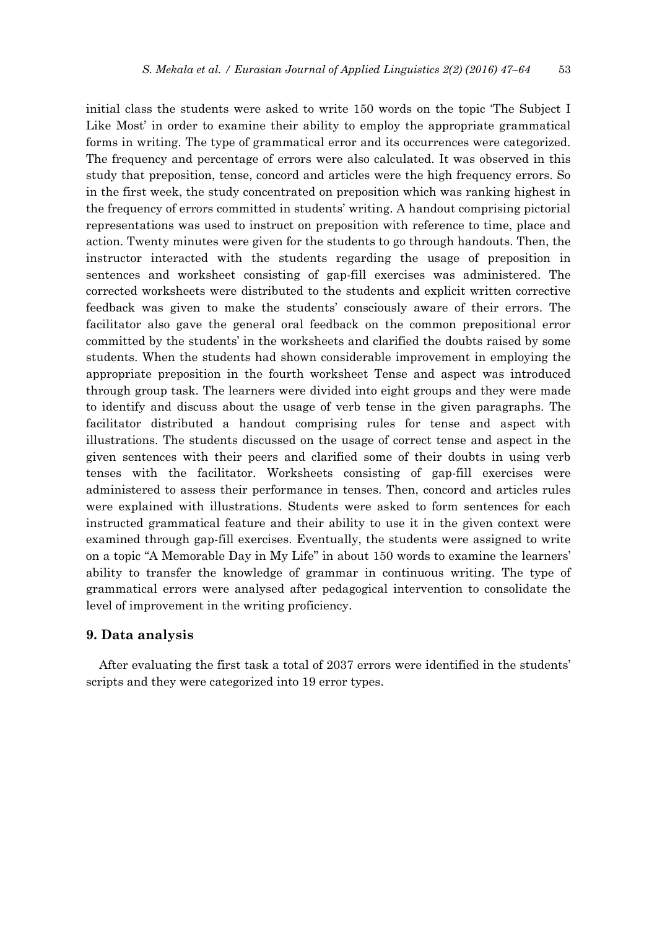initial class the students were asked to write 150 words on the topic 'The Subject I Like Most' in order to examine their ability to employ the appropriate grammatical forms in writing. The type of grammatical error and its occurrences were categorized. The frequency and percentage of errors were also calculated. It was observed in this study that preposition, tense, concord and articles were the high frequency errors. So in the first week, the study concentrated on preposition which was ranking highest in the frequency of errors committed in students' writing. A handout comprising pictorial representations was used to instruct on preposition with reference to time, place and action. Twenty minutes were given for the students to go through handouts. Then, the instructor interacted with the students regarding the usage of preposition in sentences and worksheet consisting of gap-fill exercises was administered. The corrected worksheets were distributed to the students and explicit written corrective feedback was given to make the students' consciously aware of their errors. The facilitator also gave the general oral feedback on the common prepositional error committed by the students' in the worksheets and clarified the doubts raised by some students. When the students had shown considerable improvement in employing the appropriate preposition in the fourth worksheet Tense and aspect was introduced through group task. The learners were divided into eight groups and they were made to identify and discuss about the usage of verb tense in the given paragraphs. The facilitator distributed a handout comprising rules for tense and aspect with illustrations. The students discussed on the usage of correct tense and aspect in the given sentences with their peers and clarified some of their doubts in using verb tenses with the facilitator. Worksheets consisting of gap-fill exercises were administered to assess their performance in tenses. Then, concord and articles rules were explained with illustrations. Students were asked to form sentences for each instructed grammatical feature and their ability to use it in the given context were examined through gap-fill exercises. Eventually, the students were assigned to write on a topic "A Memorable Day in My Life" in about 150 words to examine the learners' ability to transfer the knowledge of grammar in continuous writing. The type of grammatical errors were analysed after pedagogical intervention to consolidate the level of improvement in the writing proficiency.

## **9. Data analysis**

After evaluating the first task a total of 2037 errors were identified in the students' scripts and they were categorized into 19 error types.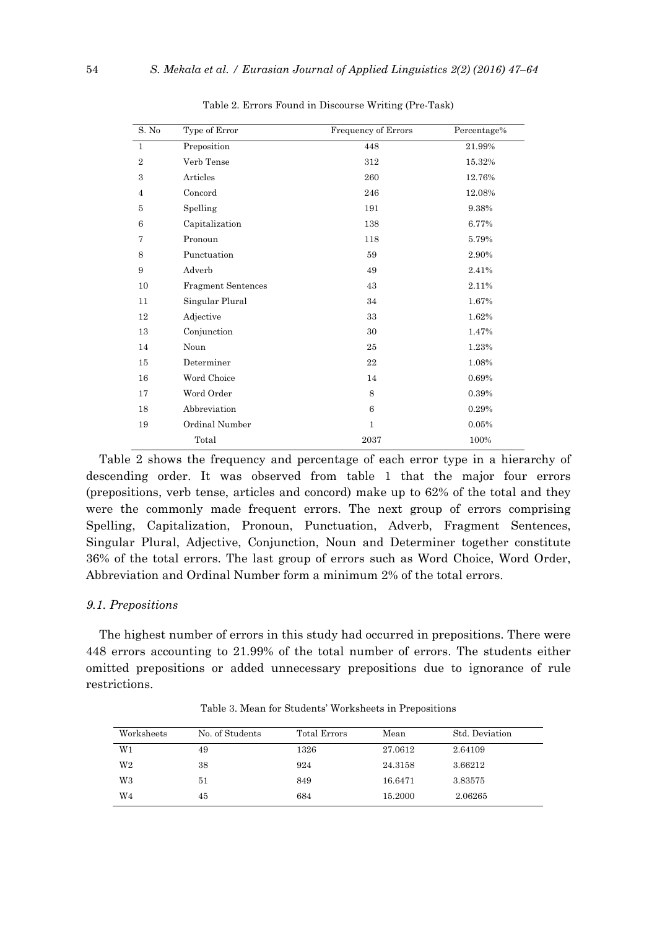| S. No          | Type of Error             | Frequency of Errors | Percentage% |
|----------------|---------------------------|---------------------|-------------|
| $\mathbf{1}$   | Preposition               | 448                 | 21.99%      |
| $\overline{2}$ | Verb Tense                | 312                 | 15.32%      |
| 3              | Articles                  | 260                 | 12.76%      |
| $\overline{4}$ | Concord                   | 246                 | 12.08%      |
| 5              | Spelling                  | 191                 | 9.38%       |
| 6              | Capitalization            | 138                 | 6.77%       |
| 7              | Pronoun                   | 118                 | 5.79%       |
| 8              | Punctuation               | 59                  | 2.90%       |
| 9              | Adverb                    | 49                  | 2.41%       |
| 10             | <b>Fragment Sentences</b> | 43                  | 2.11%       |
| 11             | Singular Plural           | 34                  | 1.67%       |
| 12             | Adjective                 | 33                  | 1.62%       |
| 13             | Conjunction               | 30                  | 1.47%       |
| 14             | Noun                      | 25                  | 1.23%       |
| 15             | Determiner                | 22                  | 1.08%       |
| 16             | Word Choice               | 14                  | 0.69%       |
| 17             | Word Order                | 8                   | 0.39%       |
| 18             | Abbreviation              | 6                   | 0.29%       |
| 19             | Ordinal Number            | 1                   | 0.05%       |
|                | Total                     | 2037                | 100%        |

Table 2. Errors Found in Discourse Writing (Pre-Task)

Table 2 shows the frequency and percentage of each error type in a hierarchy of descending order. It was observed from table 1 that the major four errors (prepositions, verb tense, articles and concord) make up to 62% of the total and they were the commonly made frequent errors. The next group of errors comprising Spelling, Capitalization, Pronoun, Punctuation, Adverb, Fragment Sentences, Singular Plural, Adjective, Conjunction, Noun and Determiner together constitute 36% of the total errors. The last group of errors such as Word Choice, Word Order, Abbreviation and Ordinal Number form a minimum 2% of the total errors.

#### *9.1. Prepositions*

The highest number of errors in this study had occurred in prepositions. There were 448 errors accounting to 21.99% of the total number of errors. The students either omitted prepositions or added unnecessary prepositions due to ignorance of rule restrictions.

| Worksheets     | No. of Students | Total Errors | Mean    | Std. Deviation |
|----------------|-----------------|--------------|---------|----------------|
| W1             | 49              | 1326         | 27.0612 | 2.64109        |
| W <sub>2</sub> | 38              | 924          | 24.3158 | 3.66212        |
| W <sub>3</sub> | 51              | 849          | 16.6471 | 3.83575        |
| W4             | 45              | 684          | 15.2000 | 2.06265        |

Table 3. Mean for Students' Worksheets in Prepositions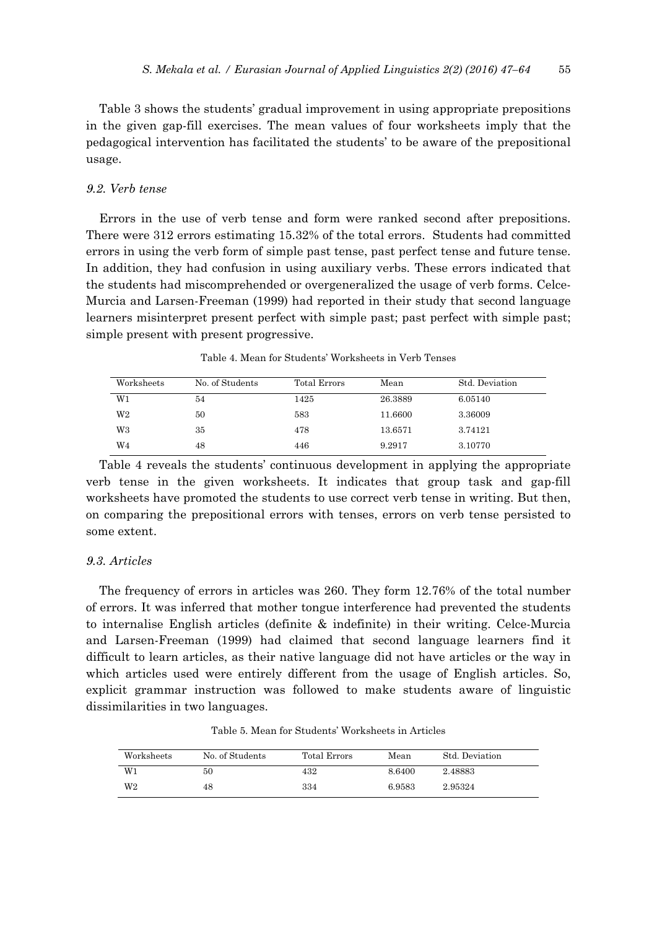Table 3 shows the students' gradual improvement in using appropriate prepositions in the given gap-fill exercises. The mean values of four worksheets imply that the pedagogical intervention has facilitated the students' to be aware of the prepositional usage.

#### *9.2. Verb tense*

Errors in the use of verb tense and form were ranked second after prepositions. There were 312 errors estimating 15.32% of the total errors. Students had committed errors in using the verb form of simple past tense, past perfect tense and future tense. In addition, they had confusion in using auxiliary verbs. These errors indicated that the students had miscomprehended or overgeneralized the usage of verb forms. Celce-Murcia and Larsen-Freeman (1999) had reported in their study that second language learners misinterpret present perfect with simple past; past perfect with simple past; simple present with present progressive.

Table 4. Mean for Students' Worksheets in Verb Tenses

| Worksheets | No. of Students | Total Errors | Mean    | Std. Deviation |
|------------|-----------------|--------------|---------|----------------|
| W1         | 54              | 1425         | 26.3889 | 6.05140        |
| W2         | 50              | 583          | 11.6600 | 3.36009        |
| W3         | 35              | 478          | 13.6571 | 3.74121        |
| W4         | 48              | 446          | 9.2917  | 3.10770        |

Table 4 reveals the students' continuous development in applying the appropriate verb tense in the given worksheets. It indicates that group task and gap-fill worksheets have promoted the students to use correct verb tense in writing. But then, on comparing the prepositional errors with tenses, errors on verb tense persisted to some extent.

## *9.3. Articles*

The frequency of errors in articles was 260. They form 12.76% of the total number of errors. It was inferred that mother tongue interference had prevented the students to internalise English articles (definite & indefinite) in their writing. Celce-Murcia and Larsen-Freeman (1999) had claimed that second language learners find it difficult to learn articles, as their native language did not have articles or the way in which articles used were entirely different from the usage of English articles. So, explicit grammar instruction was followed to make students aware of linguistic dissimilarities in two languages.

| Worksheets     | No. of Students | Total Errors | Mean   | Std. Deviation |
|----------------|-----------------|--------------|--------|----------------|
| W1             | 50              | 432          | 8.6400 | 2.48883        |
| W <sub>2</sub> | 48              | 334          | 6.9583 | 2.95324        |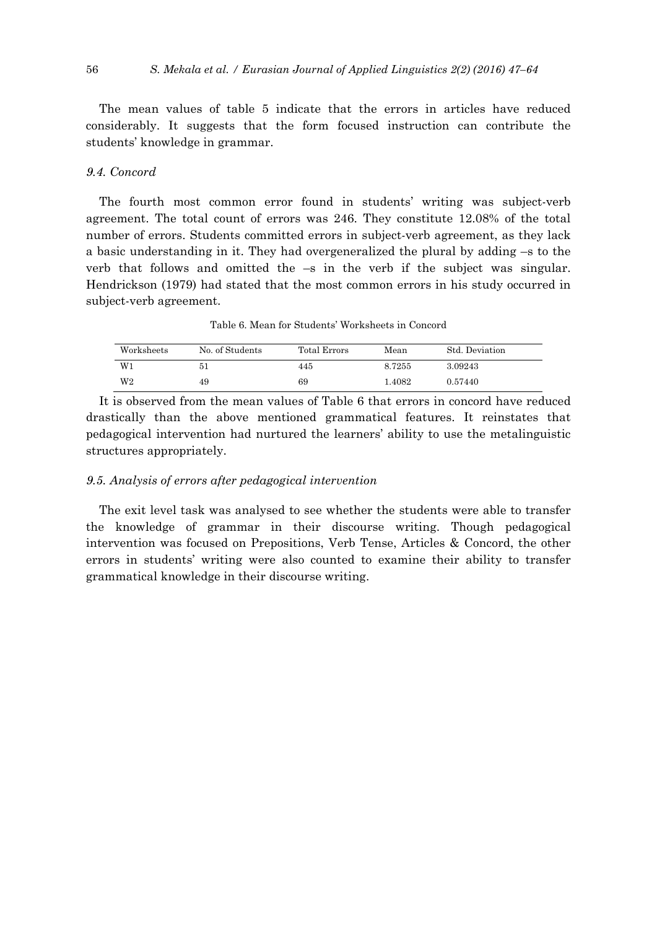The mean values of table 5 indicate that the errors in articles have reduced considerably. It suggests that the form focused instruction can contribute the students' knowledge in grammar.

#### *9.4. Concord*

The fourth most common error found in students' writing was subject-verb agreement. The total count of errors was 246. They constitute 12.08% of the total number of errors. Students committed errors in subject-verb agreement, as they lack a basic understanding in it. They had overgeneralized the plural by adding –s to the verb that follows and omitted the  $-s$  in the verb if the subject was singular. Hendrickson (1979) had stated that the most common errors in his study occurred in subject-verb agreement.

Table 6. Mean for Students' Worksheets in Concord

| Worksheets | No. of Students | Total Errors | Mean   | Std. Deviation |
|------------|-----------------|--------------|--------|----------------|
| W1         | 51              | 445          | 8.7255 | 3.09243        |
| W2         | 49              | 69           | 1.4082 | 0.57440        |

It is observed from the mean values of Table 6 that errors in concord have reduced drastically than the above mentioned grammatical features. It reinstates that pedagogical intervention had nurtured the learners' ability to use the metalinguistic structures appropriately.

#### *9.5. Analysis of errors after pedagogical intervention*

The exit level task was analysed to see whether the students were able to transfer the knowledge of grammar in their discourse writing. Though pedagogical intervention was focused on Prepositions, Verb Tense, Articles & Concord, the other errors in students' writing were also counted to examine their ability to transfer grammatical knowledge in their discourse writing.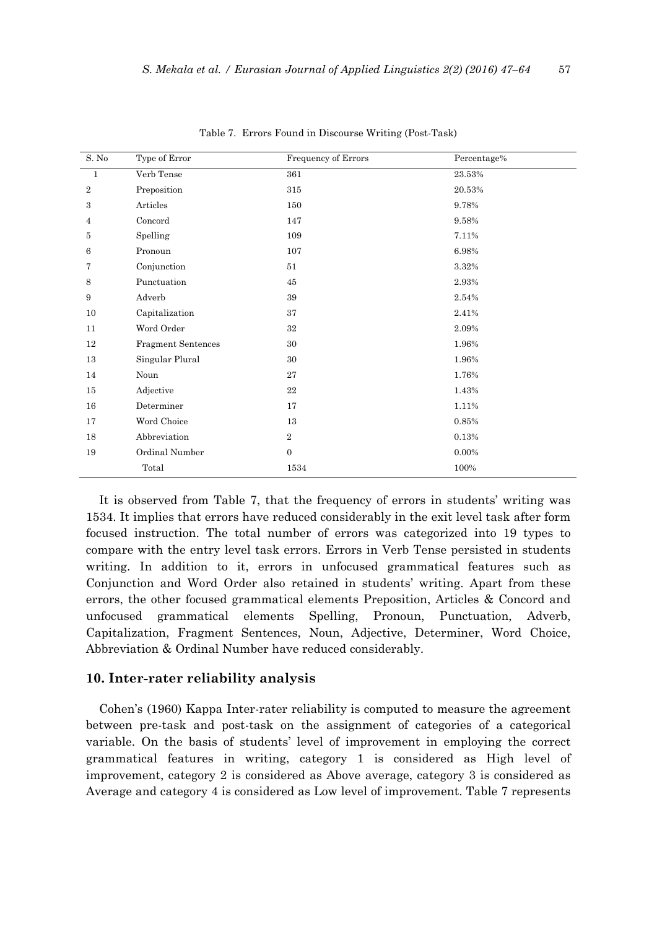| $\mathbf{S}.$ No | Type of Error             | Frequency of Errors | Percentage% |  |
|------------------|---------------------------|---------------------|-------------|--|
| $\,1\,$          | Verb Tense                | 361                 | $23.53\%$   |  |
| $\overline{2}$   | Preposition               | 315                 | 20.53%      |  |
| 3                | Articles                  | 150                 | 9.78%       |  |
| $\overline{4}$   | Concord                   | 147                 | 9.58%       |  |
| 5                | Spelling                  | 109                 | 7.11%       |  |
| 6                | Pronoun                   | 107                 | 6.98%       |  |
| 7                | Conjunction               | $51\,$              | 3.32%       |  |
| 8                | Punctuation               | 45                  | 2.93%       |  |
| $\, 9$           | Adverb                    | $39\,$              | 2.54%       |  |
| 10               | Capitalization            | 37                  | 2.41%       |  |
| 11               | Word Order                | 32                  | 2.09%       |  |
| 12               | <b>Fragment Sentences</b> | 30                  | 1.96%       |  |
| $13\,$           | Singular Plural           | 30                  | 1.96%       |  |
| 14               | Noun                      | 27                  | 1.76%       |  |
| $15\,$           | Adjective                 | $\bf 22$            | 1.43%       |  |
| 16               | Determiner                | $17\,$              | 1.11%       |  |
| 17               | Word Choice               | $13\,$              | 0.85%       |  |
| 18               | Abbreviation              | $\,2\,$             | 0.13%       |  |
| 19               | Ordinal Number            | $\overline{0}$      | $0.00\%$    |  |
|                  | Total                     | 1534                | 100%        |  |

Table 7. Errors Found in Discourse Writing (Post-Task)

It is observed from Table 7, that the frequency of errors in students' writing was 1534. It implies that errors have reduced considerably in the exit level task after form focused instruction. The total number of errors was categorized into 19 types to compare with the entry level task errors. Errors in Verb Tense persisted in students writing. In addition to it, errors in unfocused grammatical features such as Conjunction and Word Order also retained in students' writing. Apart from these errors, the other focused grammatical elements Preposition, Articles & Concord and unfocused grammatical elements Spelling, Pronoun, Punctuation, Adverb, Capitalization, Fragment Sentences, Noun, Adjective, Determiner, Word Choice, Abbreviation & Ordinal Number have reduced considerably.

## **10. Inter-rater reliability analysis**

Cohen's (1960) Kappa Inter-rater reliability is computed to measure the agreement between pre-task and post-task on the assignment of categories of a categorical variable. On the basis of students' level of improvement in employing the correct grammatical features in writing, category 1 is considered as High level of improvement, category 2 is considered as Above average, category 3 is considered as Average and category 4 is considered as Low level of improvement. Table 7 represents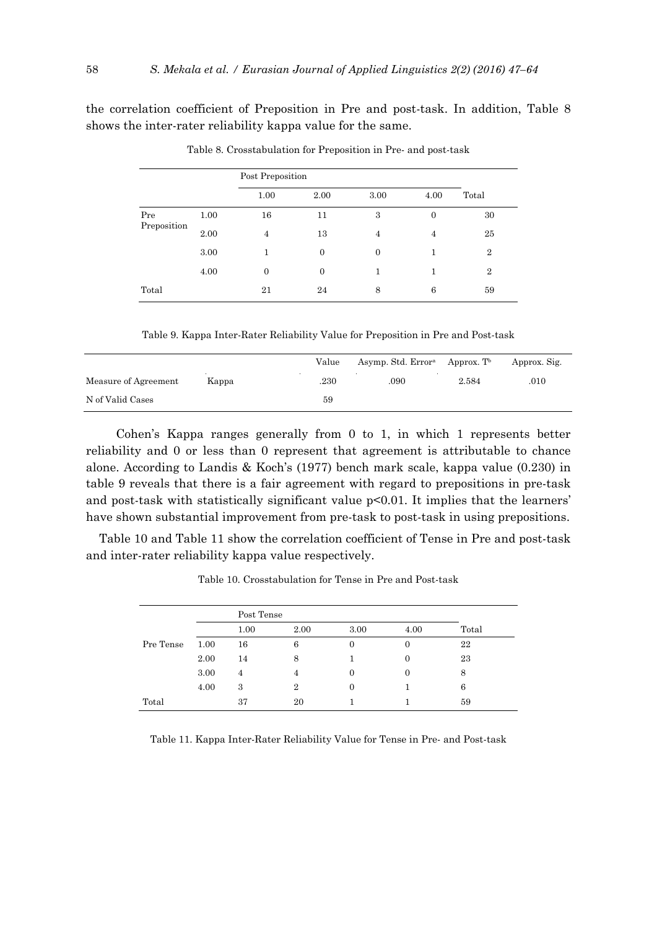the correlation coefficient of Preposition in Pre and post-task. In addition, Table 8 shows the inter-rater reliability kappa value for the same.

|                    |      |              | Post Preposition |                |                |                |  |
|--------------------|------|--------------|------------------|----------------|----------------|----------------|--|
|                    |      | 1.00         | 2.00             | 3.00           | 4.00           | Total          |  |
| Pre<br>Preposition | 1.00 | 16           | 11               | 3              | $\overline{0}$ | 30             |  |
|                    | 2.00 | 4            | 13               | 4              | 4              | 25             |  |
|                    | 3.00 | 1            | $\Omega$         | $\overline{0}$ |                | $\overline{2}$ |  |
|                    | 4.00 | $\mathbf{0}$ | $\Omega$         |                |                | $\overline{2}$ |  |
| Total              |      | 21           | 24               | 8              | 6              | 59             |  |

Table 8. Crosstabulation for Preposition in Pre- and post-task

Table 9. Kappa Inter-Rater Reliability Value for Preposition in Pre and Post-task

|                      |       | Value | Asymp. Std. Error <sup>a</sup> Approx. T <sup>b</sup> |       | Approx. Sig. |
|----------------------|-------|-------|-------------------------------------------------------|-------|--------------|
| Measure of Agreement | Kappa | .230  | .090                                                  | 2.584 | .010         |
| N of Valid Cases     |       | 59    |                                                       |       |              |

 Cohen's Kappa ranges generally from 0 to 1, in which 1 represents better reliability and 0 or less than 0 represent that agreement is attributable to chance alone. According to Landis & Koch's (1977) bench mark scale, kappa value (0.230) in table 9 reveals that there is a fair agreement with regard to prepositions in pre-task and post-task with statistically significant value p<0.01. It implies that the learners' have shown substantial improvement from pre-task to post-task in using prepositions.

Table 10 and Table 11 show the correlation coefficient of Tense in Pre and post-task and inter-rater reliability kappa value respectively.

|           |      | Post Tense     |                |                |      |       |
|-----------|------|----------------|----------------|----------------|------|-------|
|           |      | 1.00           | 2.00           | 3.00           | 4.00 | Total |
| Pre Tense | 1.00 | 16             | 6              | 0              | 0    | 22    |
|           | 2.00 | 14             | 8              |                | 0    | 23    |
|           | 3.00 | $\overline{4}$ | 4              | $\overline{0}$ | 0    | 8     |
|           | 4.00 | 3              | $\overline{2}$ | $\overline{0}$ |      | 6     |
| Total     |      | 37             | 20             |                |      | 59    |

Table 10. Crosstabulation for Tense in Pre and Post-task

Table 11. Kappa Inter-Rater Reliability Value for Tense in Pre- and Post-task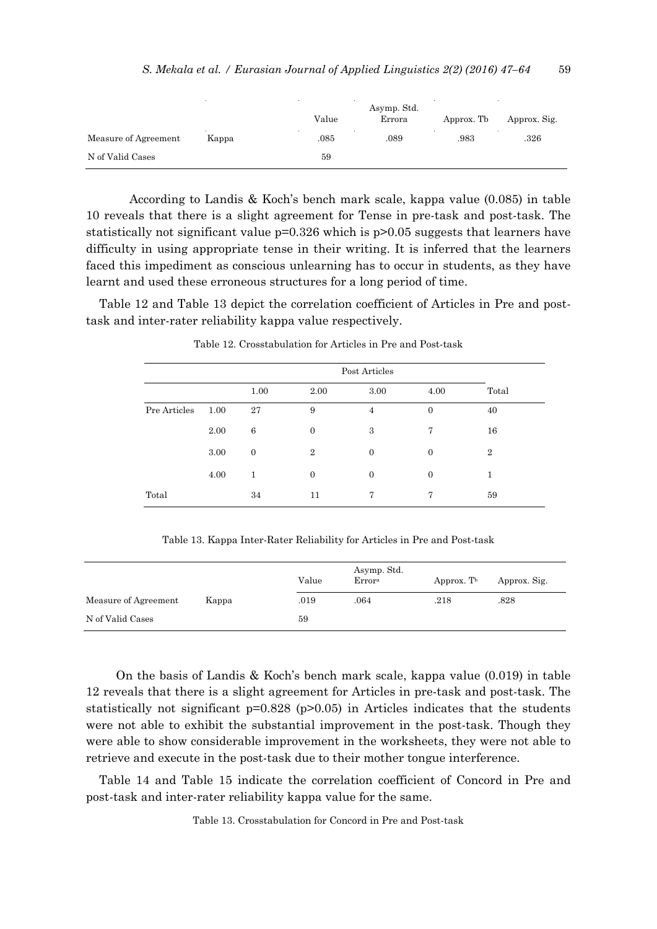|                      |       | Value | Asymp. Std.<br>Errora | Approx. Th | Approx. Sig. |
|----------------------|-------|-------|-----------------------|------------|--------------|
| Measure of Agreement | Kappa | .085  | .089                  | .983       | .326         |
| N of Valid Cases     |       | 59    |                       |            |              |

 According to Landis & Koch's bench mark scale, kappa value (0.085) in table 10 reveals that there is a slight agreement for Tense in pre-task and post-task. The statistically not significant value p=0.326 which is p>0.05 suggests that learners have difficulty in using appropriate tense in their writing. It is inferred that the learners faced this impediment as conscious unlearning has to occur in students, as they have learnt and used these erroneous structures for a long period of time.

Table 12 and Table 13 depict the correlation coefficient of Articles in Pre and posttask and inter-rater reliability kappa value respectively.

|              |      | Post Articles    |                |                  |                |                |  |
|--------------|------|------------------|----------------|------------------|----------------|----------------|--|
|              |      | 1.00             | 2.00           | 3.00             | 4.00           | Total          |  |
| Pre Articles | 1.00 | 27               | 9              | 4                | $\overline{0}$ | 40             |  |
|              | 2.00 | 6                | $\overline{0}$ | 3                | 7              | 16             |  |
|              | 3.00 | $\boldsymbol{0}$ | $\overline{2}$ | $\mathbf{0}$     | $\overline{0}$ | $\overline{2}$ |  |
|              | 4.00 | 1                | $\mathbf{0}$   | $\boldsymbol{0}$ | $\overline{0}$ | 1              |  |
| Total        |      | 34               | 11             | 7                | 7              | 59             |  |

Table 12. Crosstabulation for Articles in Pre and Post-task

Table 13. Kappa Inter-Rater Reliability for Articles in Pre and Post-task

|                      |       | Value | Asymp. Std.<br>Errora | Approx. T <sup>b</sup> | Approx. Sig. |
|----------------------|-------|-------|-----------------------|------------------------|--------------|
| Measure of Agreement | Kappa | .019  | .064                  | .218                   | .828         |
| N of Valid Cases     |       | 59    |                       |                        |              |

 On the basis of Landis & Koch's bench mark scale, kappa value (0.019) in table 12 reveals that there is a slight agreement for Articles in pre-task and post-task. The statistically not significant  $p=0.828$  ( $p>0.05$ ) in Articles indicates that the students were not able to exhibit the substantial improvement in the post-task. Though they were able to show considerable improvement in the worksheets, they were not able to retrieve and execute in the post-task due to their mother tongue interference.

Table 14 and Table 15 indicate the correlation coefficient of Concord in Pre and post-task and inter-rater reliability kappa value for the same.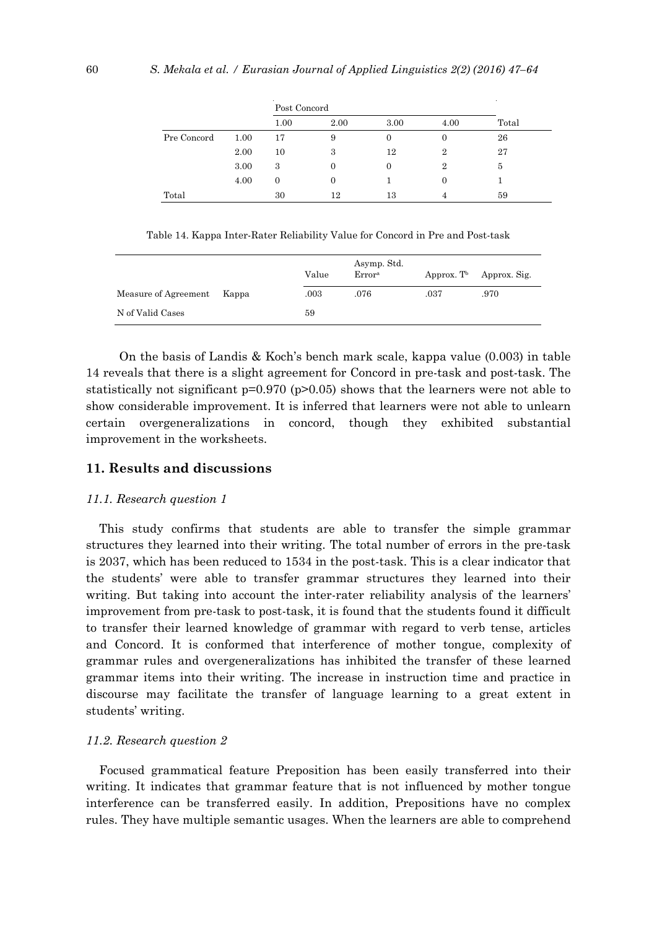|             |      | Post Concord |          |      |                |       |
|-------------|------|--------------|----------|------|----------------|-------|
|             |      | 1.00         | 2.00     | 3.00 | 4.00           | Total |
| Pre Concord | 1.00 | 17           | 9        | 0    | 0              | 26    |
|             | 2.00 | 10           | 3        | 12   | 2              | 27    |
|             | 3.00 | 3            | 0        |      | $\overline{2}$ | 5     |
|             | 4.00 | $\mathbf{0}$ | $\Omega$ |      | 0              |       |
| Total       |      | 30           | 12       | 13   |                | 59    |

Table 14. Kappa Inter-Rater Reliability Value for Concord in Pre and Post-task

|                      |       | Value | Asymp. Std.<br>Error <sup>a</sup> | Approx. $T^b$ | Approx. Sig. |
|----------------------|-------|-------|-----------------------------------|---------------|--------------|
| Measure of Agreement | Kappa | .003  | .076                              | .037          | .970         |
| N of Valid Cases     |       | 59    |                                   |               |              |

 On the basis of Landis & Koch's bench mark scale, kappa value (0.003) in table 14 reveals that there is a slight agreement for Concord in pre-task and post-task. The statistically not significant  $p=0.970$  ( $p>0.05$ ) shows that the learners were not able to show considerable improvement. It is inferred that learners were not able to unlearn certain overgeneralizations in concord, though they exhibited substantial improvement in the worksheets.

## **11. Results and discussions**

#### *11.1. Research question 1*

This study confirms that students are able to transfer the simple grammar structures they learned into their writing. The total number of errors in the pre-task is 2037, which has been reduced to 1534 in the post-task. This is a clear indicator that the students' were able to transfer grammar structures they learned into their writing. But taking into account the inter-rater reliability analysis of the learners' improvement from pre-task to post-task, it is found that the students found it difficult to transfer their learned knowledge of grammar with regard to verb tense, articles and Concord. It is conformed that interference of mother tongue, complexity of grammar rules and overgeneralizations has inhibited the transfer of these learned grammar items into their writing. The increase in instruction time and practice in discourse may facilitate the transfer of language learning to a great extent in students' writing.

#### *11.2. Research question 2*

Focused grammatical feature Preposition has been easily transferred into their writing. It indicates that grammar feature that is not influenced by mother tongue interference can be transferred easily. In addition, Prepositions have no complex rules. They have multiple semantic usages. When the learners are able to comprehend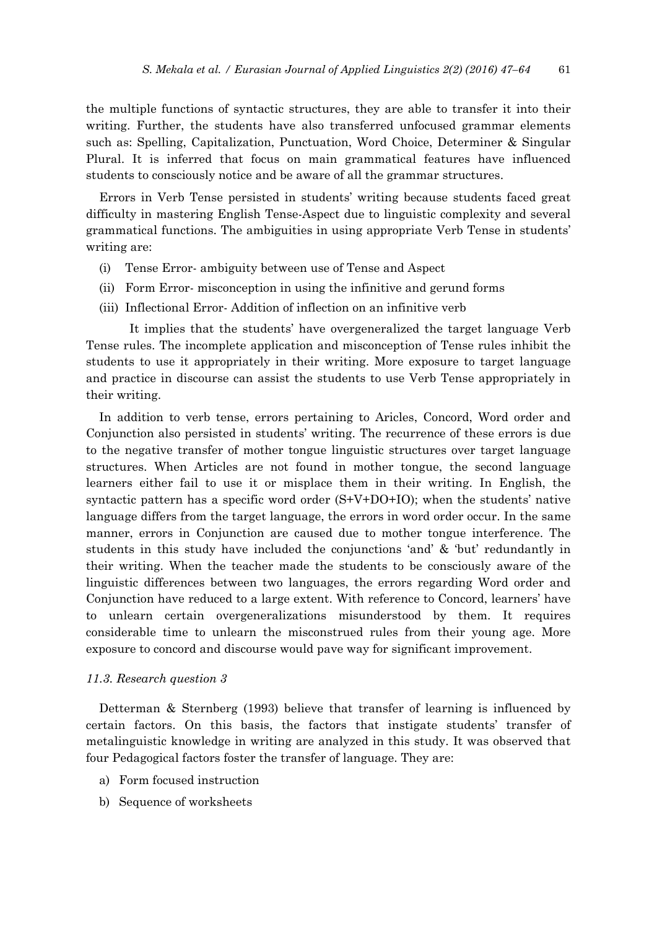the multiple functions of syntactic structures, they are able to transfer it into their writing. Further, the students have also transferred unfocused grammar elements such as: Spelling, Capitalization, Punctuation, Word Choice, Determiner & Singular Plural. It is inferred that focus on main grammatical features have influenced students to consciously notice and be aware of all the grammar structures.

Errors in Verb Tense persisted in students' writing because students faced great difficulty in mastering English Tense-Aspect due to linguistic complexity and several grammatical functions. The ambiguities in using appropriate Verb Tense in students' writing are:

- (i) Tense Error- ambiguity between use of Tense and Aspect
- (ii) Form Error- misconception in using the infinitive and gerund forms
- (iii) Inflectional Error- Addition of inflection on an infinitive verb

 It implies that the students' have overgeneralized the target language Verb Tense rules. The incomplete application and misconception of Tense rules inhibit the students to use it appropriately in their writing. More exposure to target language and practice in discourse can assist the students to use Verb Tense appropriately in their writing.

In addition to verb tense, errors pertaining to Aricles, Concord, Word order and Conjunction also persisted in students' writing. The recurrence of these errors is due to the negative transfer of mother tongue linguistic structures over target language structures. When Articles are not found in mother tongue, the second language learners either fail to use it or misplace them in their writing. In English, the syntactic pattern has a specific word order (S+V+DO+IO); when the students' native language differs from the target language, the errors in word order occur. In the same manner, errors in Conjunction are caused due to mother tongue interference. The students in this study have included the conjunctions 'and' & 'but' redundantly in their writing. When the teacher made the students to be consciously aware of the linguistic differences between two languages, the errors regarding Word order and Conjunction have reduced to a large extent. With reference to Concord, learners' have to unlearn certain overgeneralizations misunderstood by them. It requires considerable time to unlearn the misconstrued rules from their young age. More exposure to concord and discourse would pave way for significant improvement.

## *11.3. Research question 3*

Detterman & Sternberg (1993) believe that transfer of learning is influenced by certain factors. On this basis, the factors that instigate students' transfer of metalinguistic knowledge in writing are analyzed in this study. It was observed that four Pedagogical factors foster the transfer of language. They are:

- a) Form focused instruction
- b) Sequence of worksheets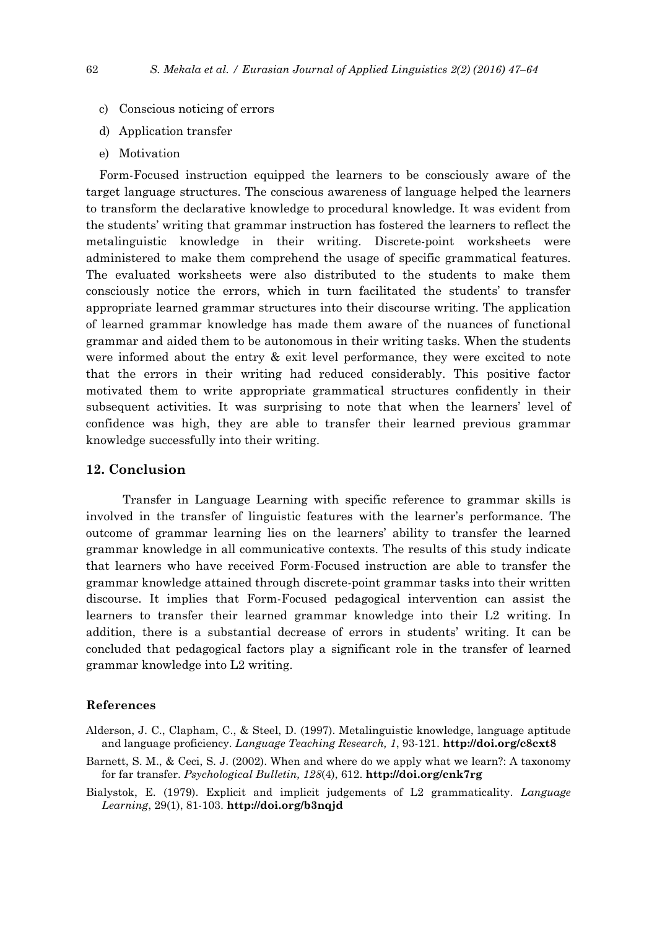- c) Conscious noticing of errors
- d) Application transfer
- e) Motivation

Form-Focused instruction equipped the learners to be consciously aware of the target language structures. The conscious awareness of language helped the learners to transform the declarative knowledge to procedural knowledge. It was evident from the students' writing that grammar instruction has fostered the learners to reflect the metalinguistic knowledge in their writing. Discrete-point worksheets were administered to make them comprehend the usage of specific grammatical features. The evaluated worksheets were also distributed to the students to make them consciously notice the errors, which in turn facilitated the students' to transfer appropriate learned grammar structures into their discourse writing. The application of learned grammar knowledge has made them aware of the nuances of functional grammar and aided them to be autonomous in their writing tasks. When the students were informed about the entry & exit level performance, they were excited to note that the errors in their writing had reduced considerably. This positive factor motivated them to write appropriate grammatical structures confidently in their subsequent activities. It was surprising to note that when the learners' level of confidence was high, they are able to transfer their learned previous grammar knowledge successfully into their writing.

## **12. Conclusion**

 Transfer in Language Learning with specific reference to grammar skills is involved in the transfer of linguistic features with the learner's performance. The outcome of grammar learning lies on the learners' ability to transfer the learned grammar knowledge in all communicative contexts. The results of this study indicate that learners who have received Form-Focused instruction are able to transfer the grammar knowledge attained through discrete-point grammar tasks into their written discourse. It implies that Form-Focused pedagogical intervention can assist the learners to transfer their learned grammar knowledge into their L2 writing. In addition, there is a substantial decrease of errors in students' writing. It can be concluded that pedagogical factors play a significant role in the transfer of learned grammar knowledge into L2 writing.

#### **References**

- Alderson, J. C., Clapham, C., & Steel, D. (1997). Metalinguistic knowledge, language aptitude and language proficiency. *Language Teaching Research, 1*, 93-121. **http://doi.org/c8cxt8**
- Barnett, S. M., & Ceci, S. J. (2002). When and where do we apply what we learn?: A taxonomy for far transfer. *Psychological Bulletin, 128*(4), 612. **http://doi.org/cnk7rg**
- Bialystok, E. (1979). Explicit and implicit judgements of L2 grammaticality. *Language Learning*, 29(1), 81-103. **http://doi.org/b3nqjd**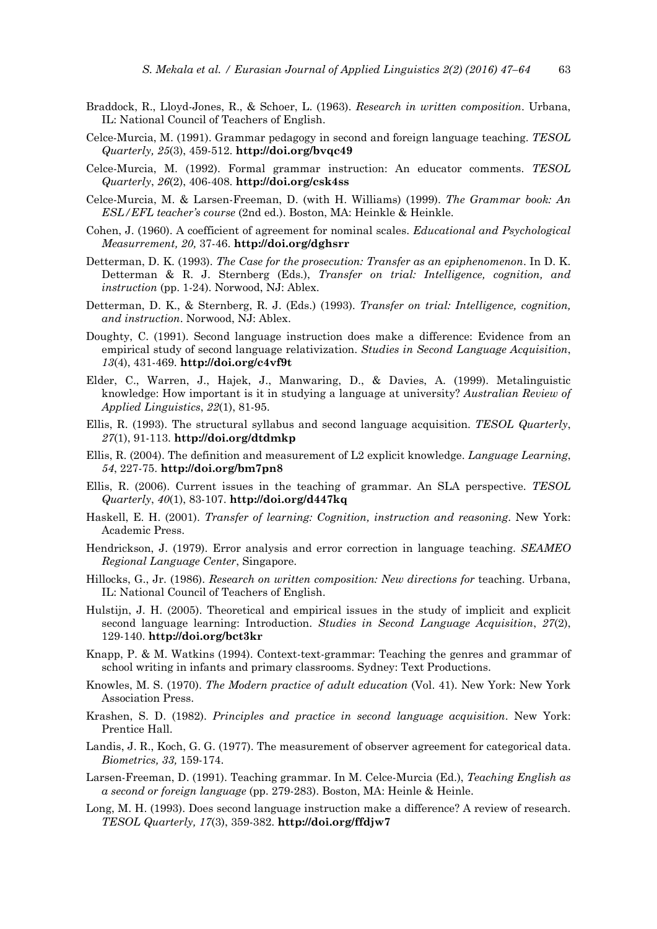- Braddock, R., Lloyd-Jones, R., & Schoer, L. (1963). *Research in written composition*. Urbana, IL: National Council of Teachers of English.
- Celce-Murcia, M. (1991). Grammar pedagogy in second and foreign language teaching. *TESOL Quarterly, 25*(3), 459-512. **http://doi.org/bvqc49**
- Celce-Murcia, M. (1992). Formal grammar instruction: An educator comments. *TESOL Quarterly*, *26*(2), 406-408. **http://doi.org/csk4ss**
- Celce-Murcia, M. & Larsen-Freeman, D. (with H. Williams) (1999). *The Grammar book: An ESL/EFL teacher's course* (2nd ed.). Boston, MA: Heinkle & Heinkle.
- Cohen, J. (1960). A coefficient of agreement for nominal scales. *Educational and Psychological Measurrement, 20,* 37-46. **http://doi.org/dghsrr**
- Detterman, D. K. (1993). *The Case for the prosecution: Transfer as an epiphenomenon*. In D. K. Detterman & R. J. Sternberg (Eds.), *Transfer on trial: Intelligence, cognition, and instruction* (pp. 1-24). Norwood, NJ: Ablex.
- Detterman, D. K., & Sternberg, R. J. (Eds.) (1993). *Transfer on trial: Intelligence, cognition, and instruction*. Norwood, NJ: Ablex.
- Doughty, C. (1991). Second language instruction does make a difference: Evidence from an empirical study of second language relativization. *Studies in Second Language Acquisition*, *13*(4), 431-469. **http://doi.org/c4vf9t**
- Elder, C., Warren, J., Hajek, J., Manwaring, D., & Davies, A. (1999). Metalinguistic knowledge: How important is it in studying a language at university? *Australian Review of Applied Linguistics*, *22*(1), 81-95.
- Ellis, R. (1993). The structural syllabus and second language acquisition. *TESOL Quarterly*, *27*(1), 91-113. **http://doi.org/dtdmkp**
- Ellis, R. (2004). The definition and measurement of L2 explicit knowledge. *Language Learning*, *54*, 227-75. **http://doi.org/bm7pn8**
- Ellis, R. (2006). Current issues in the teaching of grammar. An SLA perspective. *TESOL Quarterly*, *40*(1), 83-107. **http://doi.org/d447kq**
- Haskell, E. H. (2001). *Transfer of learning: Cognition, instruction and reasoning*. New York: Academic Press.
- Hendrickson, J. (1979). Error analysis and error correction in language teaching. *SEAMEO Regional Language Center*, Singapore.
- Hillocks, G., Jr. (1986). *Research on written composition: New directions for* teaching. Urbana, IL: National Council of Teachers of English.
- Hulstijn, J. H. (2005). Theoretical and empirical issues in the study of implicit and explicit second language learning: Introduction. *Studies in Second Language Acquisition*, *27*(2), 129-140. **http://doi.org/bct3kr**
- Knapp, P. & M. Watkins (1994). Context-text-grammar: Teaching the genres and grammar of school writing in infants and primary classrooms. Sydney: Text Productions.
- Knowles, M. S. (1970). *The Modern practice of adult education* (Vol. 41). New York: New York Association Press.
- Krashen, S. D. (1982). *Principles and practice in second language acquisition*. New York: Prentice Hall.
- Landis, J. R., Koch, G. G. (1977). The measurement of observer agreement for categorical data. *Biometrics, 33,* 159-174.
- Larsen-Freeman, D. (1991). Teaching grammar. In M. Celce-Murcia (Ed.), *Teaching English as a second or foreign language* (pp. 279-283). Boston, MA: Heinle & Heinle.
- Long, M. H. (1993). Does second language instruction make a difference? A review of research. *TESOL Quarterly, 17*(3), 359-382. **http://doi.org/ffdjw7**